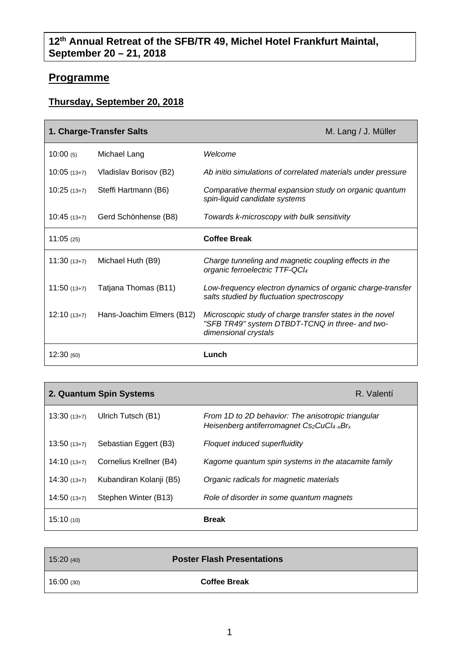## **Programme**

## **Thursday, September 20, 2018**

| 1. Charge-Transfer Salts |                           | M. Lang / J. Müller                                                                                                                 |
|--------------------------|---------------------------|-------------------------------------------------------------------------------------------------------------------------------------|
| 10:00(5)                 | Michael Lang              | Welcome                                                                                                                             |
| $10:05(13+7)$            | Vladislav Borisov (B2)    | Ab initio simulations of correlated materials under pressure                                                                        |
| $10:25(13+7)$            | Steffi Hartmann (B6)      | Comparative thermal expansion study on organic quantum<br>spin-liquid candidate systems                                             |
| $10:45(13+7)$            | Gerd Schönhense (B8)      | Towards k-microscopy with bulk sensitivity                                                                                          |
| 11:05(25)                |                           | <b>Coffee Break</b>                                                                                                                 |
| $11:30(13+7)$            | Michael Huth (B9)         | Charge tunneling and magnetic coupling effects in the<br>organic ferroelectric TTF-QCI4                                             |
| $11:50(13+7)$            | Tatjana Thomas (B11)      | Low-frequency electron dynamics of organic charge-transfer<br>salts studied by fluctuation spectroscopy                             |
| $12:10(13+7)$            | Hans-Joachim Elmers (B12) | Microscopic study of charge transfer states in the novel<br>"SFB TR49" system DTBDT-TCNQ in three- and two-<br>dimensional crystals |
| 12:30(60)                |                           | Lunch                                                                                                                               |

| 2. Quantum Spin Systems<br>R. Valentí |                         |                                                                                                |
|---------------------------------------|-------------------------|------------------------------------------------------------------------------------------------|
| $13:30(13+7)$                         | Ulrich Tutsch (B1)      | From 1D to 2D behavior: The anisotropic triangular<br>Heisenberg antiferromagnet Cs2CuCl4-xBrx |
| $13:50(13+7)$                         | Sebastian Eggert (B3)   | Floquet induced superfluidity                                                                  |
| $14:10(13+7)$                         | Cornelius Krellner (B4) | Kagome quantum spin systems in the atacamite family                                            |
| $14:30(13+7)$                         | Kubandiran Kolanji (B5) | Organic radicals for magnetic materials                                                        |
| $14:50(13+7)$                         | Stephen Winter (B13)    | Role of disorder in some quantum magnets                                                       |
| 15:10(10)                             |                         | <b>Break</b>                                                                                   |

| 15:20(40) | <b>Poster Flash Presentations</b> |  |
|-----------|-----------------------------------|--|
| 16:00(30) | <b>Coffee Break</b>               |  |